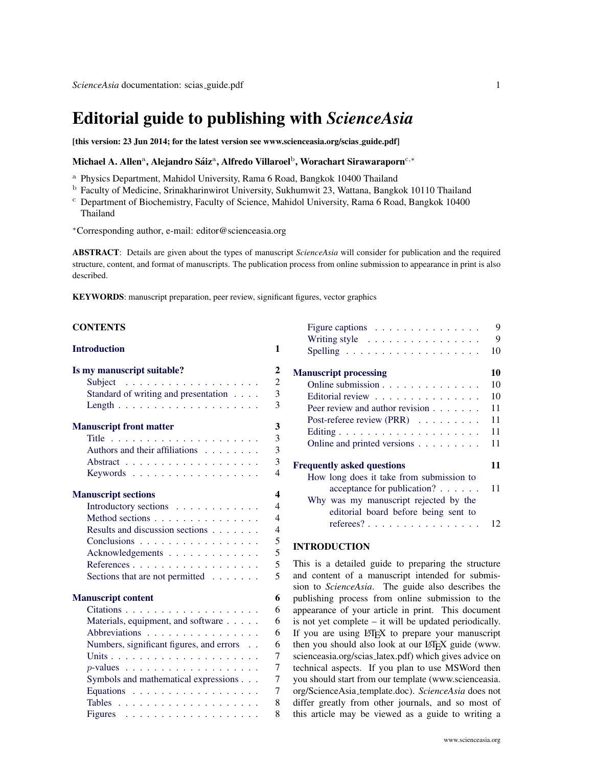# Editorial guide to publishing with *ScienceAsia*

[this version: 23 Jun 2014; for the latest version see [www.scienceasia.org/scias](http://www.scienceasia.org/scias_guide.pdf) guide.pdf]

# Michael A. Allenª, Alejandro Sáizª, Alfredo Villaroel $^{\rm b}$ , Worachart Sirawaraporn $^{\rm c,*}$

- <sup>a</sup> Physics Department, Mahidol University, Rama 6 Road, Bangkok 10400 Thailand
- <sup>b</sup> Faculty of Medicine, Srinakharinwirot University, Sukhumwit 23, Wattana, Bangkok 10110 Thailand
- <sup>c</sup> Department of Biochemistry, Faculty of Science, Mahidol University, Rama 6 Road, Bangkok 10400 Thailand
- <sup>∗</sup>Corresponding author, e-mail: [editor@scienceasia.org](mailto:editor@scienceasia.org)

ABSTRACT: Details are given about the types of manuscript *ScienceAsia* will consider for publication and the required structure, content, and format of manuscripts. The publication process from online submission to appearance in print is also described.

KEYWORDS: manuscript preparation, peer review, significant figures, vector graphics

| <b>CONTENTS</b> |  |
|-----------------|--|
|-----------------|--|

| <b>Introduction</b>                      | 1                        |
|------------------------------------------|--------------------------|
| Is my manuscript suitable?               | $\mathbf{2}$             |
|                                          | $\overline{c}$           |
| Standard of writing and presentation     | $\overline{3}$           |
|                                          | $\overline{3}$           |
| <b>Manuscript front matter</b>           | 3                        |
|                                          | $\overline{3}$           |
| Authors and their affiliations           | $\overline{3}$           |
|                                          | $\overline{3}$           |
| Keywords                                 | $\overline{4}$           |
| <b>Manuscript sections</b>               | $\Delta$                 |
| Introductory sections                    | $\overline{\mathcal{A}}$ |
| Method sections                          | $\overline{4}$           |
| Results and discussion sections          | $\overline{4}$           |
| Conclusions                              | 5                        |
| Acknowledgements                         | 5                        |
|                                          | 5                        |
| Sections that are not permitted $\ldots$ | 5                        |
| <b>Manuscript content</b>                | 6                        |
|                                          | 6                        |
| Materials, equipment, and software       | 6                        |
| Abbreviations                            | 6                        |
| Numbers, significant figures, and errors | 6                        |
|                                          | $\overline{7}$           |
|                                          | 7                        |
| Symbols and mathematical expressions     | 7                        |
| Equations                                | $\overline{7}$           |
|                                          | 8                        |
|                                          | 8                        |

| Writing style $\dots \dots \dots \dots \dots$<br><b>Manuscript processing</b><br>Online submission<br>Editorial review<br>Peer review and author revision<br>Post-referee review (PRR) $\ldots$<br>Online and printed versions<br><b>Frequently asked questions</b><br>How long does it take from submission to<br>acceptance for publication? $\ldots$<br>Why was my manuscript rejected by the<br>editorial board before being sent to | Figure captions $\dots \dots \dots \dots \dots$ | 9  |
|------------------------------------------------------------------------------------------------------------------------------------------------------------------------------------------------------------------------------------------------------------------------------------------------------------------------------------------------------------------------------------------------------------------------------------------|-------------------------------------------------|----|
|                                                                                                                                                                                                                                                                                                                                                                                                                                          |                                                 | 9  |
|                                                                                                                                                                                                                                                                                                                                                                                                                                          |                                                 | 10 |
|                                                                                                                                                                                                                                                                                                                                                                                                                                          |                                                 | 10 |
|                                                                                                                                                                                                                                                                                                                                                                                                                                          |                                                 | 10 |
|                                                                                                                                                                                                                                                                                                                                                                                                                                          |                                                 | 10 |
|                                                                                                                                                                                                                                                                                                                                                                                                                                          |                                                 | 11 |
|                                                                                                                                                                                                                                                                                                                                                                                                                                          |                                                 | 11 |
|                                                                                                                                                                                                                                                                                                                                                                                                                                          |                                                 | 11 |
|                                                                                                                                                                                                                                                                                                                                                                                                                                          |                                                 | 11 |
|                                                                                                                                                                                                                                                                                                                                                                                                                                          |                                                 | 11 |
|                                                                                                                                                                                                                                                                                                                                                                                                                                          |                                                 |    |
|                                                                                                                                                                                                                                                                                                                                                                                                                                          |                                                 | 11 |
|                                                                                                                                                                                                                                                                                                                                                                                                                                          |                                                 |    |
|                                                                                                                                                                                                                                                                                                                                                                                                                                          |                                                 |    |
|                                                                                                                                                                                                                                                                                                                                                                                                                                          | referees?                                       | 12 |

# INTRODUCTION

<span id="page-0-0"></span>This is a detailed guide to preparing the structure and content of a manuscript intended for submission to *ScienceAsia*. The guide also describes the publishing process from online submission to the appearance of your article in print. This document is not yet complete – it will be updated periodically. If you are using LATEX to prepare your manuscript then you should also look at our LATEX guide [\(www.](www.scienceasia.org/scias_latex.pdf) [scienceasia.org/scias](www.scienceasia.org/scias_latex.pdf) latex.pdf) which gives advice on technical aspects. If you plan to use MSWord then you should start from our template [\(www.scienceasia.](www.scienceasia.org/ScienceAsia_template.doc) [org/ScienceAsia](www.scienceasia.org/ScienceAsia_template.doc) template.doc). *ScienceAsia* does not differ greatly from other journals, and so most of this article may be viewed as a guide to writing a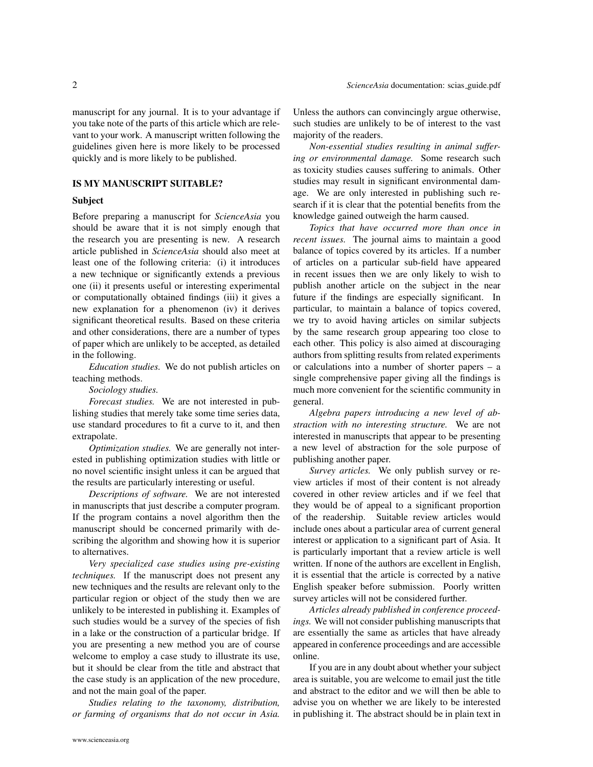manuscript for any journal. It is to your advantage if you take note of the parts of this article which are relevant to your work. A manuscript written following the guidelines given here is more likely to be processed quickly and is more likely to be published.

# IS MY MANUSCRIPT SUITABLE?

#### <span id="page-1-0"></span>Subject

<span id="page-1-1"></span>Before preparing a manuscript for *ScienceAsia* you should be aware that it is not simply enough that the research you are presenting is new. A research article published in *ScienceAsia* should also meet at least one of the following criteria: (i) it introduces a new technique or significantly extends a previous one (ii) it presents useful or interesting experimental or computationally obtained findings (iii) it gives a new explanation for a phenomenon (iv) it derives significant theoretical results. Based on these criteria and other considerations, there are a number of types of paper which are unlikely to be accepted, as detailed in the following.

*Education studies.* We do not publish articles on teaching methods.

*Sociology studies.*

*Forecast studies.* We are not interested in publishing studies that merely take some time series data, use standard procedures to fit a curve to it, and then extrapolate.

*Optimization studies.* We are generally not interested in publishing optimization studies with little or no novel scientific insight unless it can be argued that the results are particularly interesting or useful.

*Descriptions of software.* We are not interested in manuscripts that just describe a computer program. If the program contains a novel algorithm then the manuscript should be concerned primarily with describing the algorithm and showing how it is superior to alternatives.

*Very specialized case studies using pre-existing techniques.* If the manuscript does not present any new techniques and the results are relevant only to the particular region or object of the study then we are unlikely to be interested in publishing it. Examples of such studies would be a survey of the species of fish in a lake or the construction of a particular bridge. If you are presenting a new method you are of course welcome to employ a case study to illustrate its use, but it should be clear from the title and abstract that the case study is an application of the new procedure, and not the main goal of the paper.

*Studies relating to the taxonomy, distribution, or farming of organisms that do not occur in Asia.* Unless the authors can convincingly argue otherwise, such studies are unlikely to be of interest to the vast majority of the readers.

*Non-essential studies resulting in animal suffering or environmental damage.* Some research such as toxicity studies causes suffering to animals. Other studies may result in significant environmental damage. We are only interested in publishing such research if it is clear that the potential benefits from the knowledge gained outweigh the harm caused.

*Topics that have occurred more than once in recent issues.* The journal aims to maintain a good balance of topics covered by its articles. If a number of articles on a particular sub-field have appeared in recent issues then we are only likely to wish to publish another article on the subject in the near future if the findings are especially significant. In particular, to maintain a balance of topics covered, we try to avoid having articles on similar subjects by the same research group appearing too close to each other. This policy is also aimed at discouraging authors from splitting results from related experiments or calculations into a number of shorter papers – a single comprehensive paper giving all the findings is much more convenient for the scientific community in general.

*Algebra papers introducing a new level of abstraction with no interesting structure.* We are not interested in manuscripts that appear to be presenting a new level of abstraction for the sole purpose of publishing another paper.

*Survey articles.* We only publish survey or review articles if most of their content is not already covered in other review articles and if we feel that they would be of appeal to a significant proportion of the readership. Suitable review articles would include ones about a particular area of current general interest or application to a significant part of Asia. It is particularly important that a review article is well written. If none of the authors are excellent in English, it is essential that the article is corrected by a native English speaker before submission. Poorly written survey articles will not be considered further.

*Articles already published in conference proceedings.* We will not consider publishing manuscripts that are essentially the same as articles that have already appeared in conference proceedings and are accessible online.

If you are in any doubt about whether your subject area is suitable, you are welcome to email just the title and abstract to the editor and we will then be able to advise you on whether we are likely to be interested in publishing it. The abstract should be in plain text in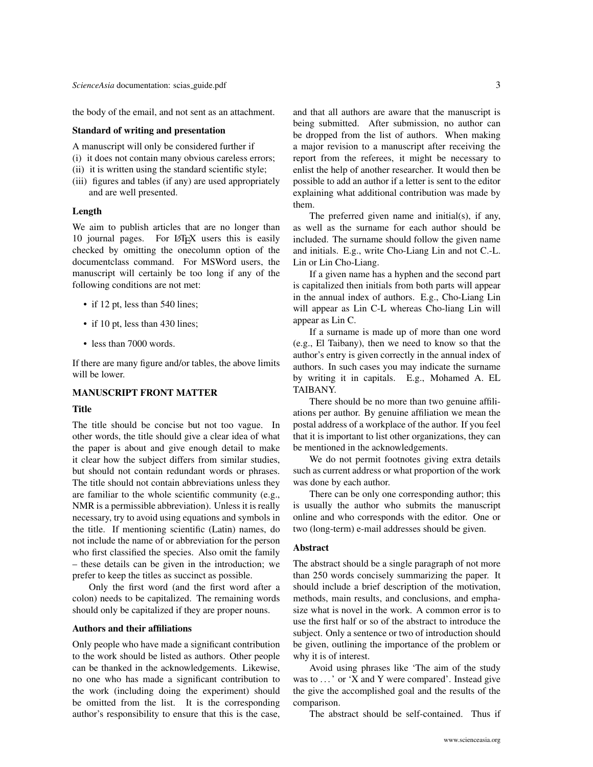the body of the email, and not sent as an attachment.

# Standard of writing and presentation

<span id="page-2-0"></span>A manuscript will only be considered further if

- (i) it does not contain many obvious careless errors;
- (ii) it is written using the standard scientific style;
- (iii) figures and tables (if any) are used appropriately and are well presented.

#### Length

<span id="page-2-1"></span>We aim to publish articles that are no longer than 10 journal pages. For LATEX users this is easily checked by omitting the onecolumn option of the documentclass command. For MSWord users, the manuscript will certainly be too long if any of the following conditions are not met:

- if 12 pt, less than 540 lines;
- if 10 pt, less than 430 lines;
- less than 7000 words.

If there are many figure and/or tables, the above limits will be lower.

#### MANUSCRIPT FRONT MATTER

#### <span id="page-2-2"></span>Title

<span id="page-2-3"></span>The title should be concise but not too vague. In other words, the title should give a clear idea of what the paper is about and give enough detail to make it clear how the subject differs from similar studies, but should not contain redundant words or phrases. The title should not contain abbreviations unless they are familiar to the whole scientific community (e.g., NMR is a permissible abbreviation). Unless it is really necessary, try to avoid using equations and symbols in the title. If mentioning scientific (Latin) names, do not include the name of or abbreviation for the person who first classified the species. Also omit the family – these details can be given in the introduction; we prefer to keep the titles as succinct as possible.

Only the first word (and the first word after a colon) needs to be capitalized. The remaining words should only be capitalized if they are proper nouns.

#### Authors and their affiliations

<span id="page-2-4"></span>Only people who have made a significant contribution to the work should be listed as authors. Other people can be thanked in the acknowledgements. Likewise, no one who has made a significant contribution to the work (including doing the experiment) should be omitted from the list. It is the corresponding author's responsibility to ensure that this is the case, and that all authors are aware that the manuscript is being submitted. After submission, no author can be dropped from the list of authors. When making a major revision to a manuscript after receiving the report from the referees, it might be necessary to enlist the help of another researcher. It would then be possible to add an author if a letter is sent to the editor explaining what additional contribution was made by them.

The preferred given name and initial(s), if any, as well as the surname for each author should be included. The surname should follow the given name and initials. E.g., write Cho-Liang Lin and not C.-L. Lin or Lin Cho-Liang.

If a given name has a hyphen and the second part is capitalized then initials from both parts will appear in the annual index of authors. E.g., Cho-Liang Lin will appear as Lin C-L whereas Cho-liang Lin will appear as Lin C.

If a surname is made up of more than one word (e.g., El Taibany), then we need to know so that the author's entry is given correctly in the annual index of authors. In such cases you may indicate the surname by writing it in capitals. E.g., Mohamed A. EL TAIBANY.

There should be no more than two genuine affiliations per author. By genuine affiliation we mean the postal address of a workplace of the author. If you feel that it is important to list other organizations, they can be mentioned in the acknowledgements.

We do not permit footnotes giving extra details such as current address or what proportion of the work was done by each author.

There can be only one corresponding author; this is usually the author who submits the manuscript online and who corresponds with the editor. One or two (long-term) e-mail addresses should be given.

## Abstract

<span id="page-2-5"></span>The abstract should be a single paragraph of not more than 250 words concisely summarizing the paper. It should include a brief description of the motivation, methods, main results, and conclusions, and emphasize what is novel in the work. A common error is to use the first half or so of the abstract to introduce the subject. Only a sentence or two of introduction should be given, outlining the importance of the problem or why it is of interest.

Avoid using phrases like 'The aim of the study was to ...' or 'X and Y were compared'. Instead give the give the accomplished goal and the results of the comparison.

The abstract should be self-contained. Thus if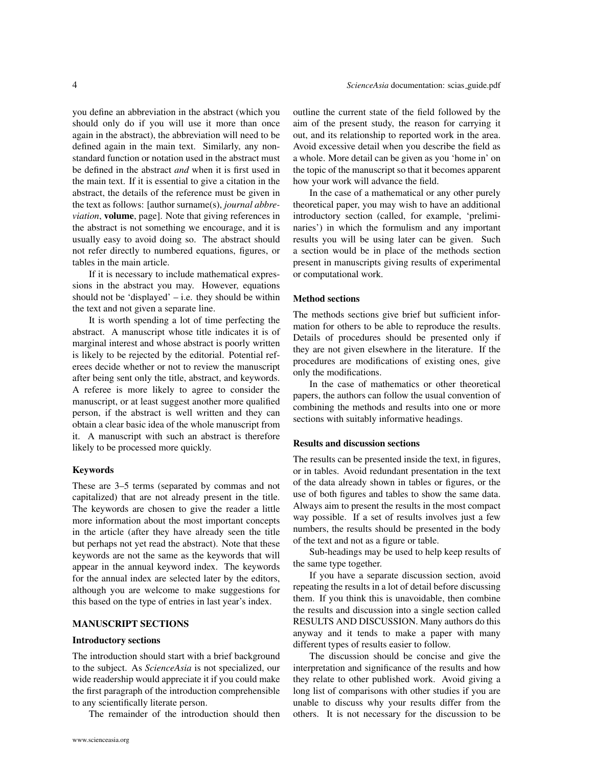you define an abbreviation in the abstract (which you should only do if you will use it more than once again in the abstract), the abbreviation will need to be defined again in the main text. Similarly, any nonstandard function or notation used in the abstract must be defined in the abstract *and* when it is first used in the main text. If it is essential to give a citation in the abstract, the details of the reference must be given in the text as follows: [author surname(s), *journal abbreviation*, volume, page]. Note that giving references in the abstract is not something we encourage, and it is usually easy to avoid doing so. The abstract should not refer directly to numbered equations, figures, or tables in the main article.

If it is necessary to include mathematical expressions in the abstract you may. However, equations should not be 'displayed' – i.e. they should be within the text and not given a separate line.

It is worth spending a lot of time perfecting the abstract. A manuscript whose title indicates it is of marginal interest and whose abstract is poorly written is likely to be rejected by the editorial. Potential referees decide whether or not to review the manuscript after being sent only the title, abstract, and keywords. A referee is more likely to agree to consider the manuscript, or at least suggest another more qualified person, if the abstract is well written and they can obtain a clear basic idea of the whole manuscript from it. A manuscript with such an abstract is therefore likely to be processed more quickly.

#### Keywords

<span id="page-3-0"></span>These are 3–5 terms (separated by commas and not capitalized) that are not already present in the title. The keywords are chosen to give the reader a little more information about the most important concepts in the article (after they have already seen the title but perhaps not yet read the abstract). Note that these keywords are not the same as the keywords that will appear in the annual keyword index. The keywords for the annual index are selected later by the editors, although you are welcome to make suggestions for this based on the type of entries in last year's index.

# MANUSCRIPT SECTIONS

#### <span id="page-3-1"></span>Introductory sections

<span id="page-3-2"></span>The introduction should start with a brief background to the subject. As *ScienceAsia* is not specialized, our wide readership would appreciate it if you could make the first paragraph of the introduction comprehensible to any scientifically literate person.

The remainder of the introduction should then

outline the current state of the field followed by the aim of the present study, the reason for carrying it out, and its relationship to reported work in the area. Avoid excessive detail when you describe the field as a whole. More detail can be given as you 'home in' on the topic of the manuscript so that it becomes apparent how your work will advance the field.

In the case of a mathematical or any other purely theoretical paper, you may wish to have an additional introductory section (called, for example, 'preliminaries') in which the formulism and any important results you will be using later can be given. Such a section would be in place of the methods section present in manuscripts giving results of experimental or computational work.

#### Method sections

<span id="page-3-3"></span>The methods sections give brief but sufficient information for others to be able to reproduce the results. Details of procedures should be presented only if they are not given elsewhere in the literature. If the procedures are modifications of existing ones, give only the modifications.

In the case of mathematics or other theoretical papers, the authors can follow the usual convention of combining the methods and results into one or more sections with suitably informative headings.

#### Results and discussion sections

<span id="page-3-4"></span>The results can be presented inside the text, in figures, or in tables. Avoid redundant presentation in the text of the data already shown in tables or figures, or the use of both figures and tables to show the same data. Always aim to present the results in the most compact way possible. If a set of results involves just a few numbers, the results should be presented in the body of the text and not as a figure or table.

Sub-headings may be used to help keep results of the same type together.

If you have a separate discussion section, avoid repeating the results in a lot of detail before discussing them. If you think this is unavoidable, then combine the results and discussion into a single section called RESULTS AND DISCUSSION. Many authors do this anyway and it tends to make a paper with many different types of results easier to follow.

The discussion should be concise and give the interpretation and significance of the results and how they relate to other published work. Avoid giving a long list of comparisons with other studies if you are unable to discuss why your results differ from the others. It is not necessary for the discussion to be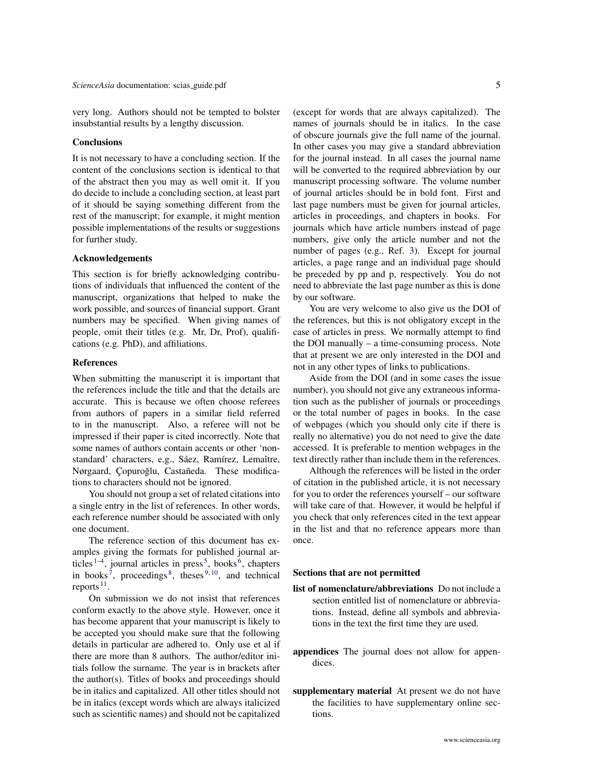very long. Authors should not be tempted to bolster insubstantial results by a lengthy discussion.

# **Conclusions**

<span id="page-4-0"></span>It is not necessary to have a concluding section. If the content of the conclusions section is identical to that of the abstract then you may as well omit it. If you do decide to include a concluding section, at least part of it should be saying something different from the rest of the manuscript; for example, it might mention possible implementations of the results or suggestions for further study.

# Acknowledgements

<span id="page-4-1"></span>This section is for briefly acknowledging contributions of individuals that influenced the content of the manuscript, organizations that helped to make the work possible, and sources of financial support. Grant numbers may be specified. When giving names of people, omit their titles (e.g. Mr, Dr, Prof), qualifications (e.g. PhD), and affiliations.

#### References

<span id="page-4-2"></span>When submitting the manuscript it is important that the references include the title and that the details are accurate. This is because we often choose referees from authors of papers in a similar field referred to in the manuscript. Also, a referee will not be impressed if their paper is cited incorrectly. Note that some names of authors contain accents or other 'nonstandard' characters, e.g., Sáez, Ramírez, Lemaître, Nørgaard, Çopuroğlu, Castañeda. These modifications to characters should not be ignored.

You should not group a set of related citations into a single entry in the list of references. In other words, each reference number should be associated with only one document.

The reference section of this document has examples giving the formats for published journal articles  $1-4$  $1-4$ , journal articles in press<sup>[5](#page-11-3)</sup>, books<sup>[6](#page-11-4)</sup>, chapters in books<sup>[7](#page-11-5)</sup>, proceedings<sup>[8](#page-11-6)</sup>, theses<sup>[9,](#page-11-7)[10](#page-11-8)</sup>, and technical reports  $^{11}$  $^{11}$  $^{11}$ .

On submission we do not insist that references conform exactly to the above style. However, once it has become apparent that your manuscript is likely to be accepted you should make sure that the following details in particular are adhered to. Only use et al if there are more than 8 authors. The author/editor initials follow the surname. The year is in brackets after the author(s). Titles of books and proceedings should be in italics and capitalized. All other titles should not be in italics (except words which are always italicized such as scientific names) and should not be capitalized

(except for words that are always capitalized). The names of journals should be in italics. In the case of obscure journals give the full name of the journal. In other cases you may give a standard abbreviation for the journal instead. In all cases the journal name will be converted to the required abbreviation by our manuscript processing software. The volume number of journal articles should be in bold font. First and last page numbers must be given for journal articles, articles in proceedings, and chapters in books. For journals which have article numbers instead of page numbers, give only the article number and not the number of pages (e.g., Ref. [3\)](#page-11-10). Except for journal articles, a page range and an individual page should be preceded by pp and p, respectively. You do not need to abbreviate the last page number as this is done by our software.

You are very welcome to also give us the DOI of the references, but this is not obligatory except in the case of articles in press. We normally attempt to find the DOI manually – a time-consuming process. Note that at present we are only interested in the DOI and not in any other types of links to publications.

Aside from the DOI (and in some cases the issue number), you should not give any extraneous information such as the publisher of journals or proceedings or the total number of pages in books. In the case of webpages (which you should only cite if there is really no alternative) you do not need to give the date accessed. It is preferable to mention webpages in the text directly rather than include them in the references.

Although the references will be listed in the order of citation in the published article, it is not necessary for you to order the references yourself – our software will take care of that. However, it would be helpful if you check that only references cited in the text appear in the list and that no reference appears more than once.

#### Sections that are not permitted

- <span id="page-4-3"></span>list of nomenclature/abbreviations Do not include a section entitled list of nomenclature or abbreviations. Instead, define all symbols and abbreviations in the text the first time they are used.
- appendices The journal does not allow for appendices.
- supplementary material At present we do not have the facilities to have supplementary online sections.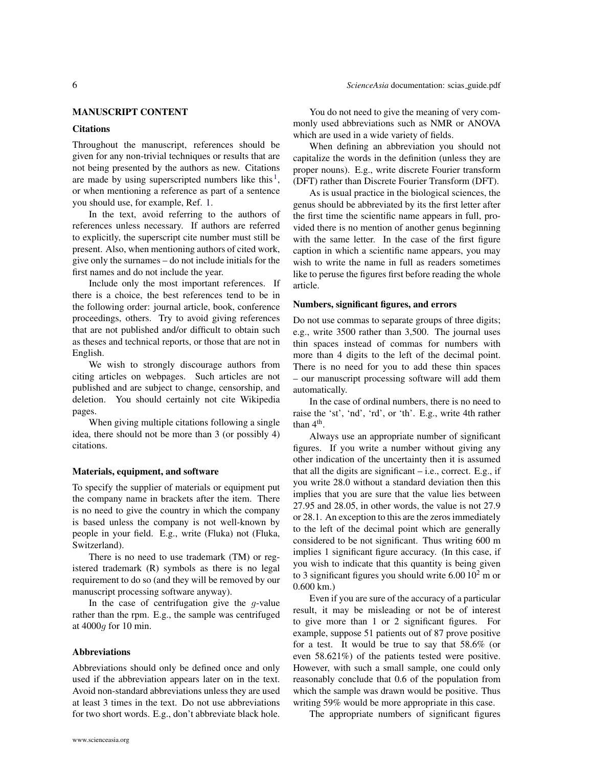# MANUSCRIPT CONTENT

# <span id="page-5-0"></span>**Citations**

<span id="page-5-1"></span>Throughout the manuscript, references should be given for any non-trivial techniques or results that are not being presented by the authors as new. Citations are made by using superscripted numbers like this $<sup>1</sup>$  $<sup>1</sup>$  $<sup>1</sup>$ ,</sup> or when mentioning a reference as part of a sentence you should use, for example, Ref. [1.](#page-11-1)

In the text, avoid referring to the authors of references unless necessary. If authors are referred to explicitly, the superscript cite number must still be present. Also, when mentioning authors of cited work, give only the surnames – do not include initials for the first names and do not include the year.

Include only the most important references. If there is a choice, the best references tend to be in the following order: journal article, book, conference proceedings, others. Try to avoid giving references that are not published and/or difficult to obtain such as theses and technical reports, or those that are not in English.

We wish to strongly discourage authors from citing articles on webpages. Such articles are not published and are subject to change, censorship, and deletion. You should certainly not cite Wikipedia pages.

When giving multiple citations following a single idea, there should not be more than 3 (or possibly 4) citations.

#### Materials, equipment, and software

<span id="page-5-2"></span>To specify the supplier of materials or equipment put the company name in brackets after the item. There is no need to give the country in which the company is based unless the company is not well-known by people in your field. E.g., write (Fluka) not (Fluka, Switzerland).

There is no need to use trademark (TM) or registered trademark (R) symbols as there is no legal requirement to do so (and they will be removed by our manuscript processing software anyway).

In the case of centrifugation give the  $q$ -value rather than the rpm. E.g., the sample was centrifuged at 4000g for 10 min.

#### Abbreviations

<span id="page-5-3"></span>Abbreviations should only be defined once and only used if the abbreviation appears later on in the text. Avoid non-standard abbreviations unless they are used at least 3 times in the text. Do not use abbreviations for two short words. E.g., don't abbreviate black hole.

When defining an abbreviation you should not capitalize the words in the definition (unless they are proper nouns). E.g., write discrete Fourier transform (DFT) rather than Discrete Fourier Transform (DFT).

As is usual practice in the biological sciences, the genus should be abbreviated by its the first letter after the first time the scientific name appears in full, provided there is no mention of another genus beginning with the same letter. In the case of the first figure caption in which a scientific name appears, you may wish to write the name in full as readers sometimes like to peruse the figures first before reading the whole article.

# Numbers, significant figures, and errors

<span id="page-5-4"></span>Do not use commas to separate groups of three digits; e.g., write 3500 rather than 3,500. The journal uses thin spaces instead of commas for numbers with more than 4 digits to the left of the decimal point. There is no need for you to add these thin spaces – our manuscript processing software will add them automatically.

In the case of ordinal numbers, there is no need to raise the 'st', 'nd', 'rd', or 'th'. E.g., write 4th rather than 4<sup>th</sup>.

Always use an appropriate number of significant figures. If you write a number without giving any other indication of the uncertainty then it is assumed that all the digits are significant  $-$  i.e., correct. E.g., if you write 28.0 without a standard deviation then this implies that you are sure that the value lies between 27.95 and 28.05, in other words, the value is not 27.9 or 28.1. An exception to this are the zeros immediately to the left of the decimal point which are generally considered to be not significant. Thus writing 600 m implies 1 significant figure accuracy. (In this case, if you wish to indicate that this quantity is being given to 3 significant figures you should write  $6.00 10^2$  m or 0.600 km.)

Even if you are sure of the accuracy of a particular result, it may be misleading or not be of interest to give more than 1 or 2 significant figures. For example, suppose 51 patients out of 87 prove positive for a test. It would be true to say that 58.6% (or even 58.621%) of the patients tested were positive. However, with such a small sample, one could only reasonably conclude that 0.6 of the population from which the sample was drawn would be positive. Thus writing 59% would be more appropriate in this case.

The appropriate numbers of significant figures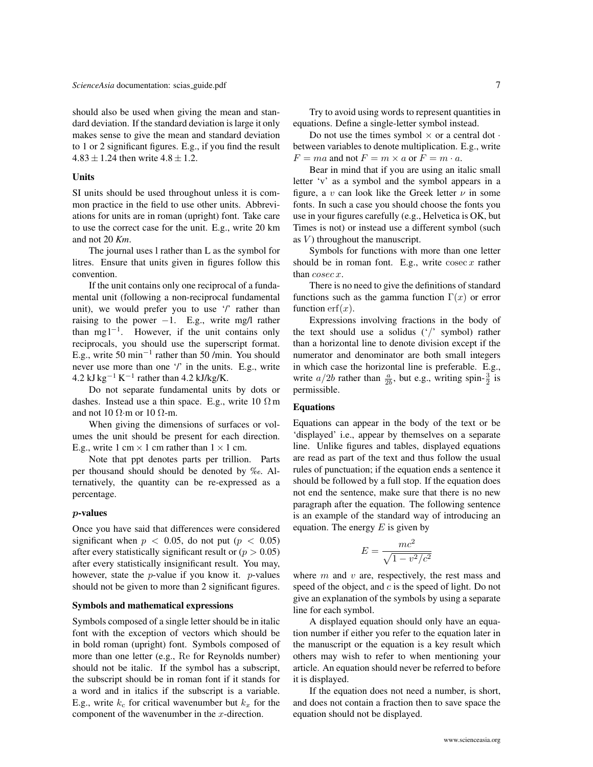*[ScienceAsia](http://www.scienceasia.org/)* documentation: scias\_[guide.pdf](http://www.scienceasia.org/scias_guide.pdf) 7

should also be used when giving the mean and standard deviation. If the standard deviation is large it only makes sense to give the mean and standard deviation to 1 or 2 significant figures. E.g., if you find the result  $4.83 \pm 1.24$  then write  $4.8 \pm 1.2$ .

# Units

<span id="page-6-0"></span>SI units should be used throughout unless it is common practice in the field to use other units. Abbreviations for units are in roman (upright) font. Take care to use the correct case for the unit. E.g., write 20 km and not 20 *Km*.

The journal uses l rather than L as the symbol for litres. Ensure that units given in figures follow this convention.

If the unit contains only one reciprocal of a fundamental unit (following a non-reciprocal fundamental unit), we would prefer you to use '/' rather than raising to the power  $-1$ . E.g., write mg/l rather than mg  $l^{-1}$ . However, if the unit contains only reciprocals, you should use the superscript format. E.g., write 50 min<sup>-1</sup> rather than 50 /min. You should never use more than one '/' in the units. E.g., write 4.2 kJ kg<sup>-1</sup> K<sup>-1</sup> rather than 4.2 kJ/kg/K.

Do not separate fundamental units by dots or dashes. Instead use a thin space. E.g., write  $10 \Omega$  m and not 10  $\Omega$ ·m or 10  $\Omega$ ·m.

When giving the dimensions of surfaces or volumes the unit should be present for each direction. E.g., write 1 cm  $\times$  1 cm rather than  $1 \times 1$  cm.

Note that ppt denotes parts per trillion. Parts per thousand should should be denoted by ‰. Alternatively, the quantity can be re-expressed as a percentage.

# p-values

<span id="page-6-1"></span>Once you have said that differences were considered significant when  $p < 0.05$ , do not put ( $p < 0.05$ ) after every statistically significant result or  $(p > 0.05)$ after every statistically insignificant result. You may, however, state the  $p$ -value if you know it.  $p$ -values should not be given to more than 2 significant figures.

# Symbols and mathematical expressions

<span id="page-6-2"></span>Symbols composed of a single letter should be in italic font with the exception of vectors which should be in bold roman (upright) font. Symbols composed of more than one letter (e.g., Re for Reynolds number) should not be italic. If the symbol has a subscript, the subscript should be in roman font if it stands for a word and in italics if the subscript is a variable. E.g., write  $k_c$  for critical wavenumber but  $k_x$  for the component of the wavenumber in the  $x$ -direction.

Try to avoid using words to represent quantities in equations. Define a single-letter symbol instead.

Do not use the times symbol  $\times$  or a central dot  $\cdot$ between variables to denote multiplication. E.g., write  $F = ma$  and not  $F = m \times a$  or  $F = m \cdot a$ .

Bear in mind that if you are using an italic small letter 'v' as a symbol and the symbol appears in a figure, a v can look like the Greek letter  $\nu$  in some fonts. In such a case you should choose the fonts you use in your figures carefully (e.g., Helvetica is OK, but Times is not) or instead use a different symbol (such as  $V$ ) throughout the manuscript.

Symbols for functions with more than one letter should be in roman font. E.g., write  $\csc x$  rather than cosec x.

There is no need to give the definitions of standard functions such as the gamma function  $\Gamma(x)$  or error function  $erf(x)$ .

Expressions involving fractions in the body of the text should use a solidus ('/' symbol) rather than a horizontal line to denote division except if the numerator and denominator are both small integers in which case the horizontal line is preferable. E.g., write  $a/2b$  rather than  $\frac{a}{2b}$ , but e.g., writing spin- $\frac{3}{2}$  is permissible.

# Equations

<span id="page-6-3"></span>Equations can appear in the body of the text or be 'displayed' i.e., appear by themselves on a separate line. Unlike figures and tables, displayed equations are read as part of the text and thus follow the usual rules of punctuation; if the equation ends a sentence it should be followed by a full stop. If the equation does not end the sentence, make sure that there is no new paragraph after the equation. The following sentence is an example of the standard way of introducing an equation. The energy  $E$  is given by

$$
E = \frac{mc^2}{\sqrt{1 - v^2/c^2}}
$$

where  $m$  and  $v$  are, respectively, the rest mass and speed of the object, and  $c$  is the speed of light. Do not give an explanation of the symbols by using a separate line for each symbol.

A displayed equation should only have an equation number if either you refer to the equation later in the manuscript or the equation is a key result which others may wish to refer to when mentioning your article. An equation should never be referred to before it is displayed.

If the equation does not need a number, is short, and does not contain a fraction then to save space the equation should not be displayed.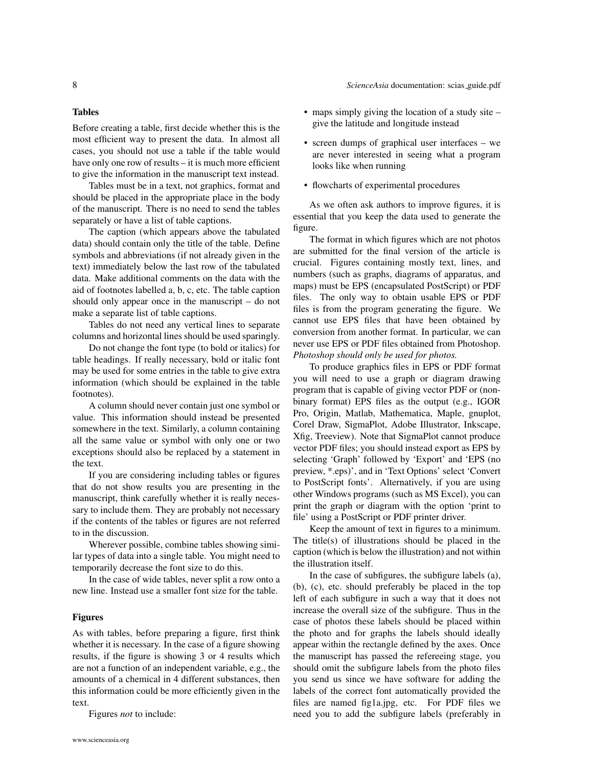# Tables

<span id="page-7-0"></span>Before creating a table, first decide whether this is the most efficient way to present the data. In almost all cases, you should not use a table if the table would have only one row of results – it is much more efficient to give the information in the manuscript text instead.

Tables must be in a text, not graphics, format and should be placed in the appropriate place in the body of the manuscript. There is no need to send the tables separately or have a list of table captions.

The caption (which appears above the tabulated data) should contain only the title of the table. Define symbols and abbreviations (if not already given in the text) immediately below the last row of the tabulated data. Make additional comments on the data with the aid of footnotes labelled a, b, c, etc. The table caption should only appear once in the manuscript – do not make a separate list of table captions.

Tables do not need any vertical lines to separate columns and horizontal lines should be used sparingly.

Do not change the font type (to bold or italics) for table headings. If really necessary, bold or italic font may be used for some entries in the table to give extra information (which should be explained in the table footnotes).

A column should never contain just one symbol or value. This information should instead be presented somewhere in the text. Similarly, a column containing all the same value or symbol with only one or two exceptions should also be replaced by a statement in the text.

If you are considering including tables or figures that do not show results you are presenting in the manuscript, think carefully whether it is really necessary to include them. They are probably not necessary if the contents of the tables or figures are not referred to in the discussion.

Wherever possible, combine tables showing similar types of data into a single table. You might need to temporarily decrease the font size to do this.

In the case of wide tables, never split a row onto a new line. Instead use a smaller font size for the table.

#### Figures

<span id="page-7-1"></span>As with tables, before preparing a figure, first think whether it is necessary. In the case of a figure showing results, if the figure is showing 3 or 4 results which are not a function of an independent variable, e.g., the amounts of a chemical in 4 different substances, then this information could be more efficiently given in the text.

Figures *not* to include:

- maps simply giving the location of a study site give the latitude and longitude instead
- screen dumps of graphical user interfaces we are never interested in seeing what a program looks like when running
- flowcharts of experimental procedures

As we often ask authors to improve figures, it is essential that you keep the data used to generate the figure.

The format in which figures which are not photos are submitted for the final version of the article is crucial. Figures containing mostly text, lines, and numbers (such as graphs, diagrams of apparatus, and maps) must be EPS (encapsulated PostScript) or PDF files. The only way to obtain usable EPS or PDF files is from the program generating the figure. We cannot use EPS files that have been obtained by conversion from another format. In particular, we can never use EPS or PDF files obtained from Photoshop. *Photoshop should only be used for photos.*

To produce graphics files in EPS or PDF format you will need to use a graph or diagram drawing program that is capable of giving vector PDF or (nonbinary format) EPS files as the output (e.g., IGOR Pro, Origin, Matlab, Mathematica, Maple, gnuplot, Corel Draw, SigmaPlot, Adobe Illustrator, Inkscape, Xfig, Treeview). Note that SigmaPlot cannot produce vector PDF files; you should instead export as EPS by selecting 'Graph' followed by 'Export' and 'EPS (no preview, \*.eps)', and in 'Text Options' select 'Convert to PostScript fonts'. Alternatively, if you are using other Windows programs (such as MS Excel), you can print the graph or diagram with the option 'print to file' using a PostScript or PDF printer driver.

Keep the amount of text in figures to a minimum. The title(s) of illustrations should be placed in the caption (which is below the illustration) and not within the illustration itself.

In the case of subfigures, the subfigure labels (a), (b), (c), etc. should preferably be placed in the top left of each subfigure in such a way that it does not increase the overall size of the subfigure. Thus in the case of photos these labels should be placed within the photo and for graphs the labels should ideally appear within the rectangle defined by the axes. Once the manuscript has passed the refereeing stage, you should omit the subfigure labels from the photo files you send us since we have software for adding the labels of the correct font automatically provided the files are named fig1a.jpg, etc. For PDF files we need you to add the subfigure labels (preferably in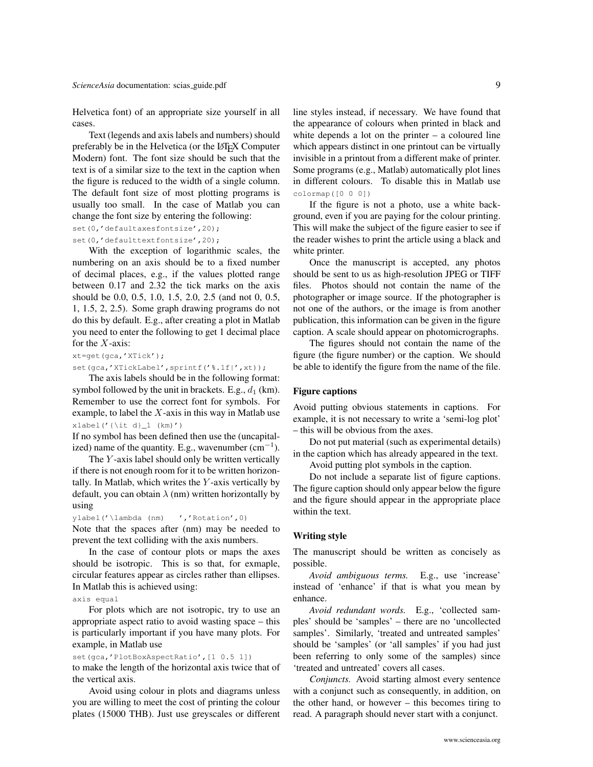Helvetica font) of an appropriate size yourself in all cases.

Text (legends and axis labels and numbers) should preferably be in the Helvetica (or the LATEX Computer Modern) font. The font size should be such that the text is of a similar size to the text in the caption when the figure is reduced to the width of a single column. The default font size of most plotting programs is usually too small. In the case of Matlab you can change the font size by entering the following:

set(0,'defaultaxesfontsize',20);

set(0,'defaulttextfontsize',20);

With the exception of logarithmic scales, the numbering on an axis should be to a fixed number of decimal places, e.g., if the values plotted range between 0.17 and 2.32 the tick marks on the axis should be 0.0, 0.5, 1.0, 1.5, 2.0, 2.5 (and not 0, 0.5, 1, 1.5, 2, 2.5). Some graph drawing programs do not do this by default. E.g., after creating a plot in Matlab you need to enter the following to get 1 decimal place for the  $X$ -axis:

xt=get(gca,'XTick');

set(gca,'XTickLabel',sprintf('%.1f|',xt));

The axis labels should be in the following format: symbol followed by the unit in brackets. E.g.,  $d_1$  (km). Remember to use the correct font for symbols. For example, to label the  $X$ -axis in this way in Matlab use  $xlabel('{\it i t d)}_1$  (km)')

If no symbol has been defined then use the (uncapitalized) name of the quantity. E.g., wavenumber  $(cm<sup>-1</sup>)$ .

The  $Y$ -axis label should only be written vertically if there is not enough room for it to be written horizontally. In Matlab, which writes the  $Y$ -axis vertically by default, you can obtain  $\lambda$  (nm) written horizontally by using

ylabel('\lambda (nm) ','Rotation',0) Note that the spaces after (nm) may be needed to prevent the text colliding with the axis numbers.

In the case of contour plots or maps the axes should be isotropic. This is so that, for exmaple, circular features appear as circles rather than ellipses. In Matlab this is achieved using:

axis equal

For plots which are not isotropic, try to use an appropriate aspect ratio to avoid wasting space – this is particularly important if you have many plots. For example, in Matlab use

#### set(gca,'PlotBoxAspectRatio', [1 0.5 1])

to make the length of the horizontal axis twice that of the vertical axis.

Avoid using colour in plots and diagrams unless you are willing to meet the cost of printing the colour plates (15000 THB). Just use greyscales or different line styles instead, if necessary. We have found that the appearance of colours when printed in black and white depends a lot on the printer – a coloured line which appears distinct in one printout can be virtually invisible in a printout from a different make of printer. Some programs (e.g., Matlab) automatically plot lines in different colours. To disable this in Matlab use colormap([0 0 0])

If the figure is not a photo, use a white background, even if you are paying for the colour printing. This will make the subject of the figure easier to see if the reader wishes to print the article using a black and white printer.

Once the manuscript is accepted, any photos should be sent to us as high-resolution JPEG or TIFF files. Photos should not contain the name of the photographer or image source. If the photographer is not one of the authors, or the image is from another publication, this information can be given in the figure caption. A scale should appear on photomicrographs.

The figures should not contain the name of the figure (the figure number) or the caption. We should be able to identify the figure from the name of the file.

#### Figure captions

<span id="page-8-0"></span>Avoid putting obvious statements in captions. For example, it is not necessary to write a 'semi-log plot' – this will be obvious from the axes.

Do not put material (such as experimental details) in the caption which has already appeared in the text.

Avoid putting plot symbols in the caption.

Do not include a separate list of figure captions. The figure caption should only appear below the figure and the figure should appear in the appropriate place within the text.

# Writing style

<span id="page-8-1"></span>The manuscript should be written as concisely as possible.

*Avoid ambiguous terms.* E.g., use 'increase' instead of 'enhance' if that is what you mean by enhance.

*Avoid redundant words.* E.g., 'collected samples' should be 'samples' – there are no 'uncollected samples'. Similarly, 'treated and untreated samples' should be 'samples' (or 'all samples' if you had just been referring to only some of the samples) since 'treated and untreated' covers all cases.

*Conjuncts.* Avoid starting almost every sentence with a conjunct such as consequently, in addition, on the other hand, or however – this becomes tiring to read. A paragraph should never start with a conjunct.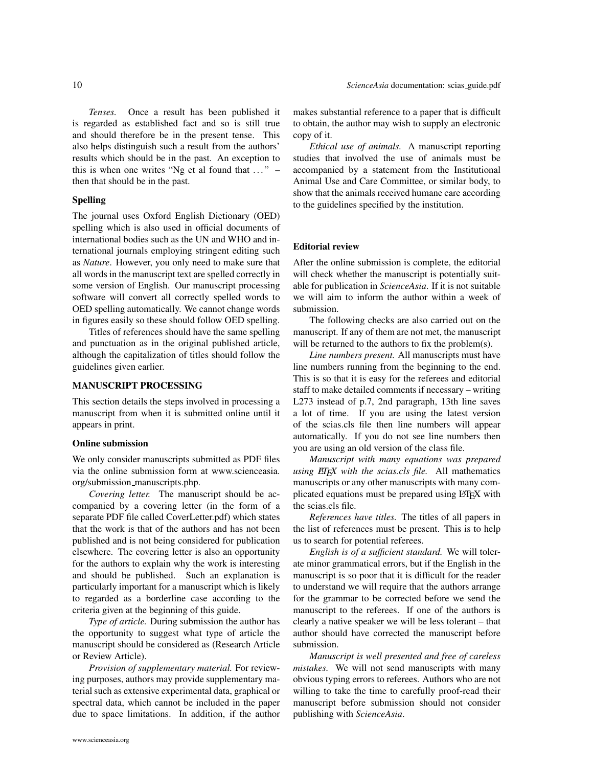*Tenses.* Once a result has been published it is regarded as established fact and so is still true and should therefore be in the present tense. This also helps distinguish such a result from the authors' results which should be in the past. An exception to this is when one writes "Ng et al found that  $\dots$ " – then that should be in the past.

#### Spelling

<span id="page-9-0"></span>The journal uses Oxford English Dictionary (OED) spelling which is also used in official documents of international bodies such as the UN and WHO and international journals employing stringent editing such as *Nature*. However, you only need to make sure that all words in the manuscript text are spelled correctly in some version of English. Our manuscript processing software will convert all correctly spelled words to OED spelling automatically. We cannot change words in figures easily so these should follow OED spelling.

Titles of references should have the same spelling and punctuation as in the original published article, although the capitalization of titles should follow the guidelines given earlier.

#### MANUSCRIPT PROCESSING

<span id="page-9-1"></span>This section details the steps involved in processing a manuscript from when it is submitted online until it appears in print.

# Online submission

<span id="page-9-2"></span>We only consider manuscripts submitted as PDF files via the online submission form at [www.scienceasia.](www.scienceasia.org/submission_manuscripts.php) org/submission [manuscripts.php.](www.scienceasia.org/submission_manuscripts.php)

*Covering letter.* The manuscript should be accompanied by a covering letter (in the form of a separate PDF file called CoverLetter.pdf) which states that the work is that of the authors and has not been published and is not being considered for publication elsewhere. The covering letter is also an opportunity for the authors to explain why the work is interesting and should be published. Such an explanation is particularly important for a manuscript which is likely to regarded as a borderline case according to the criteria given at the beginning of this guide.

*Type of article.* During submission the author has the opportunity to suggest what type of article the manuscript should be considered as (Research Article or Review Article).

*Provision of supplementary material.* For reviewing purposes, authors may provide supplementary material such as extensive experimental data, graphical or spectral data, which cannot be included in the paper due to space limitations. In addition, if the author makes substantial reference to a paper that is difficult to obtain, the author may wish to supply an electronic copy of it.

*Ethical use of animals.* A manuscript reporting studies that involved the use of animals must be accompanied by a statement from the Institutional Animal Use and Care Committee, or similar body, to show that the animals received humane care according to the guidelines specified by the institution.

#### Editorial review

<span id="page-9-3"></span>After the online submission is complete, the editorial will check whether the manuscript is potentially suitable for publication in *ScienceAsia*. If it is not suitable we will aim to inform the author within a week of submission.

The following checks are also carried out on the manuscript. If any of them are not met, the manuscript will be returned to the authors to fix the problem(s).

*Line numbers present.* All manuscripts must have line numbers running from the beginning to the end. This is so that it is easy for the referees and editorial staff to make detailed comments if necessary – writing L273 instead of p.7, 2nd paragraph, 13th line saves a lot of time. If you are using the latest version of the scias.cls file then line numbers will appear automatically. If you do not see line numbers then you are using an old version of the class file.

*Manuscript with many equations was prepared using ETEX with the scias.cls file.* All mathematics manuscripts or any other manuscripts with many complicated equations must be prepared using LATEX with the scias.cls file.

*References have titles.* The titles of all papers in the list of references must be present. This is to help us to search for potential referees.

*English is of a sufficient standard.* We will tolerate minor grammatical errors, but if the English in the manuscript is so poor that it is difficult for the reader to understand we will require that the authors arrange for the grammar to be corrected before we send the manuscript to the referees. If one of the authors is clearly a native speaker we will be less tolerant – that author should have corrected the manuscript before submission.

*Manuscript is well presented and free of careless mistakes.* We will not send manuscripts with many obvious typing errors to referees. Authors who are not willing to take the time to carefully proof-read their manuscript before submission should not consider publishing with *ScienceAsia*.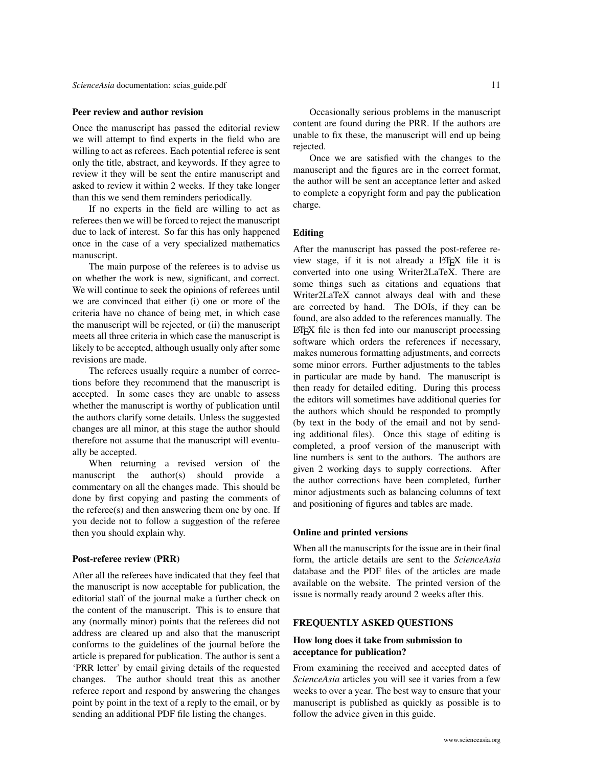#### Peer review and author revision

<span id="page-10-0"></span>Once the manuscript has passed the editorial review we will attempt to find experts in the field who are willing to act as referees. Each potential referee is sent only the title, abstract, and keywords. If they agree to review it they will be sent the entire manuscript and asked to review it within 2 weeks. If they take longer than this we send them reminders periodically.

If no experts in the field are willing to act as referees then we will be forced to reject the manuscript due to lack of interest. So far this has only happened once in the case of a very specialized mathematics manuscript.

The main purpose of the referees is to advise us on whether the work is new, significant, and correct. We will continue to seek the opinions of referees until we are convinced that either (i) one or more of the criteria have no chance of being met, in which case the manuscript will be rejected, or (ii) the manuscript meets all three criteria in which case the manuscript is likely to be accepted, although usually only after some revisions are made.

The referees usually require a number of corrections before they recommend that the manuscript is accepted. In some cases they are unable to assess whether the manuscript is worthy of publication until the authors clarify some details. Unless the suggested changes are all minor, at this stage the author should therefore not assume that the manuscript will eventually be accepted.

When returning a revised version of the manuscript the author(s) should provide a commentary on all the changes made. This should be done by first copying and pasting the comments of the referee(s) and then answering them one by one. If you decide not to follow a suggestion of the referee then you should explain why.

#### Post-referee review (PRR)

<span id="page-10-1"></span>After all the referees have indicated that they feel that the manuscript is now acceptable for publication, the editorial staff of the journal make a further check on the content of the manuscript. This is to ensure that any (normally minor) points that the referees did not address are cleared up and also that the manuscript conforms to the guidelines of the journal before the article is prepared for publication. The author is sent a 'PRR letter' by email giving details of the requested changes. The author should treat this as another referee report and respond by answering the changes point by point in the text of a reply to the email, or by sending an additional PDF file listing the changes.

Occasionally serious problems in the manuscript content are found during the PRR. If the authors are unable to fix these, the manuscript will end up being rejected.

Once we are satisfied with the changes to the manuscript and the figures are in the correct format, the author will be sent an acceptance letter and asked to complete a copyright form and pay the publication charge.

# Editing

<span id="page-10-2"></span>After the manuscript has passed the post-referee review stage, if it is not already a LATEX file it is converted into one using Writer2LaTeX. There are some things such as citations and equations that Writer2LaTeX cannot always deal with and these are corrected by hand. The DOIs, if they can be found, are also added to the references manually. The LATEX file is then fed into our manuscript processing software which orders the references if necessary, makes numerous formatting adjustments, and corrects some minor errors. Further adjustments to the tables in particular are made by hand. The manuscript is then ready for detailed editing. During this process the editors will sometimes have additional queries for the authors which should be responded to promptly (by text in the body of the email and not by sending additional files). Once this stage of editing is completed, a proof version of the manuscript with line numbers is sent to the authors. The authors are given 2 working days to supply corrections. After the author corrections have been completed, further minor adjustments such as balancing columns of text and positioning of figures and tables are made.

#### Online and printed versions

<span id="page-10-3"></span>When all the manuscripts for the issue are in their final form, the article details are sent to the *ScienceAsia* database and the PDF files of the articles are made available on the website. The printed version of the issue is normally ready around 2 weeks after this.

# FREQUENTLY ASKED QUESTIONS

# <span id="page-10-4"></span>How long does it take from submission to acceptance for publication?

<span id="page-10-5"></span>From examining the received and accepted dates of *ScienceAsia* articles you will see it varies from a few weeks to over a year. The best way to ensure that your manuscript is published as quickly as possible is to follow the advice given in this guide.